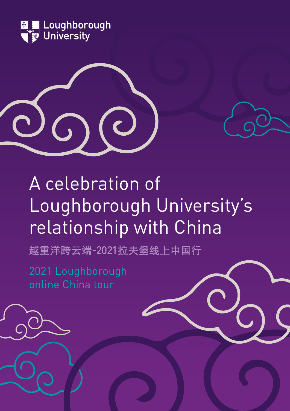





越重洋跨云端-2021拉夫堡线上中国行

2021 Loughborough online China tour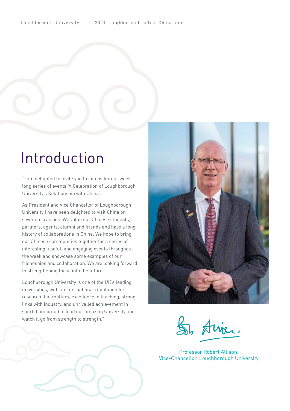# Introduction

"I am delighted to invite you to join us for our week long series of events 'A Celebration of Loughborough University's Relationship with China'.

As President and Vice Chancellor of Loughborough University I have been delighted to visit China on several occasions. We value our Chinese students, partners, agents, alumni and friends and have a long history of collaborations in China. We hope to bring our Chinese communities together for a series of interesting, useful, and engaging events throughout the week and showcase some examples of our friendships and collaboration. We are looking forward to strengthening these into the future.

Loughborough University is one of the UK's leading universities, with an international reputation for research that matters, excellence in teaching, strong links with industry, and unrivalled achievement in sport. I am proud to lead our amazing University and watch it go from strength to strength."



Professor Robert Allison, Vice-Chancellor, Loughborough University

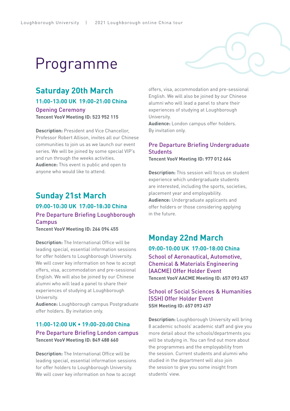# Programme

# **Saturday 20th March**

**11:00-13:00 UK 19:00-21:00 China** 

Opening Ceremony **Tencent VooV Meeting ID: 523 952 115** 

**Description:** President and Vice Chancellor, Professor Robert Allison, invites all our Chinese communities to join us as we launch our event series. We will be joined by some special VIP's and run through the weeks activities. **Audience:** This event is public and open to anyone who would like to attend.

# **Sunday 21st March**

# **09:00-10:30 UK 17:00-18:30 China** Pre Departure Briefing Loughborough Campus

**Tencent VooV Meeting ID: 266 094 455**

**Description:** The International Office will be leading special, essential information sessions for offer holders to Loughborough University. We will cover key information on how to accept offers, visa, accommodation and pre-sessional English. We will also be joined by our Chinese alumni who will lead a panel to share their experiences of studying at Loughborough University.

**Audience:** Loughborough campus Postgraduate offer holders. By invitation only.

# **11:00-12:00 UK • 19:00-20:00 China** Pre Departure Briefing London campus **Tencent VooV Meeting ID: 849 488 660**

**Description:** The International Office will be leading special, essential information sessions for offer holders to Loughborough University. We will cover key information on how to accept

offers, visa, accommodation and pre-sessional English. We will also be joined by our Chinese alumni who will lead a panel to share their experiences of studying at Loughborough University.

**Audience:** London campus offer holders. By invitation only.

## Pre Departure Briefing Undergraduate **Students**

**Tencent VooV Meeting ID: 977 012 664**

**Description:** This session will focus on student experience which undergraduate students are interested, including the sports, societies, placement year and employability. **Audience:** Undergraduate applicants and offer holders or those considering applying in the future.

# **Monday 22nd March**

**09:00-10:00 UK 17:00-18:00 China** School of Aeronautical, Automotive, Chemical & Materials Engineering (AACME) Offer Holder Event **Tencent VooV AACME Meeting ID: 657 093 457**

### School of Social Sciences & Humanities (SSH) Offer Holder Event **SSH Meeting ID: 657 093 457**

**Description:** Loughborough University will bring 8 academic schools' academic staff and give you more detail about the schools/departments you will be studying in. You can find out more about the programmes and the employability from the session. Current students and alumni who studied in the department will also join the session to give you some insight from students' view.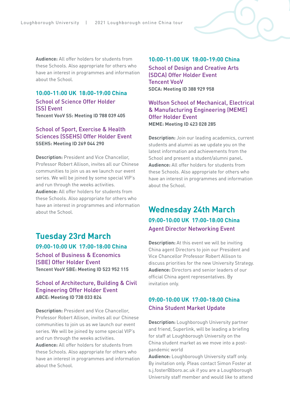**Audience:** All offer holders for students from these Schools. Also appropriate for others who have an interest in programmes and information about the School.

# **10:00-11:00 UK 18:00-19:00 China** School of Science Offer Holder (SS) Event

**Tencent VooV SS: Meeting ID 788 039 405**

#### School of Sport, Exercise & Health Sciences (SSEHS) Offer Holder Event **SSEHS: Meeting ID 269 044 290**

**Description:** President and Vice Chancellor, Professor Robert Allison, invites all our Chinese communities to join us as we launch our event series. We will be joined by some special VIP's and run through the weeks activities. **Audience:** All offer holders for students from these Schools. Also appropriate for others who

have an interest in programmes and information about the School.

# **Tuesday 23rd March**

**09:00-10:00 UK 17:00-18:00 China** School of Business & Economics

(SBE) Offer Holder Event **Tencent VooV SBE: Meeting ID 523 952 115**

#### School of Architecture, Building & Civil Engineering Offer Holder Event **ABCE: Meeting ID 738 033 824**

**Description:** President and Vice Chancellor, Professor Robert Allison, invites all our Chinese communities to join us as we launch our event series. We will be joined by some special VIP's and run through the weeks activities.

**Audience:** All offer holders for students from these Schools. Also appropriate for others who have an interest in programmes and information about the School.

#### **10:00-11:00 UK 18:00-19:00 China**

School of Design and Creative Arts (SDCA) Offer Holder Event Tencent VooV **SDCA: Meeting ID 388 929 958**

Wolfson School of Mechanical, Electrical & Manufacturing Engineering (MEME) Offer Holder Event **MEME: Meeting ID 423 028 285**

**Description:** Join our leading academics, current students and alumni as we update you on the latest information and achievements from the School and present a student/alumni panel**. Audience:** All offer holders for students from these Schools. Also appropriate for others who have an interest in programmes and information about the School.

# **Wednesday 24th March 09:00-10:00 UK 17:00-18:00 China** Agent Director Networking Event

**Description:** At this event we will be inviting China agent Directors to join our President and Vice Chancellor Professor Robert Allison to discuss priorities for the new University Strategy. **Audience:** Directors and senior leaders of our official China agent representatives. By invitation only.

# **09:00-10:00 UK 17:00-18:00 China** China Student Market Update

**Description:** Loughborough University partner and friend, Superlink, will be leading a briefing for staff at Loughborough University on the China student market as we move into a postpandemic world

**Audience:** Loughborough University staff only. By invitation only. Pleas contact Simon Foster at s.j.foster@lboro.ac.uk if you are a Loughborough University staff member and would like to attend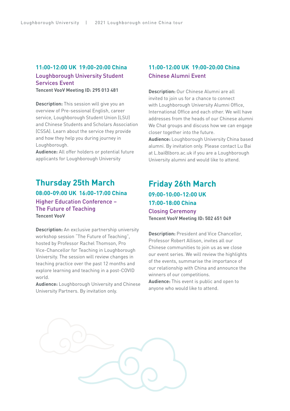# **11:00-12:00 UK 19:00-20:00 China** Loughborough University Student Services Event

**Tencent VooV Meeting ID: 295 013 481**

**Description:** This session will give you an overview of Pre-sessional English, career service, Loughborough Student Union (LSU) and Chinese Students and Scholars Association (CSSA). Learn about the service they provide and how they help you during journey in Loughborough.

**Audience:** All offer holders or potential future applicants for Loughborough University

# **Thursday 25th March**

**08:00-09:00 UK 16:00-17:00 China** Higher Education Conference – The Future of Teaching **Tencent VooV**

**Description:** An exclusive partnership university workshop session "The Future of Teaching", hosted by Professor Rachel Thomson, Pro Vice-Chancellor for Teaching in Loughborough University. The session will review changes in teaching practice over the past 12 months and explore learning and teaching in a post-COVID world.

**Audience:** Loughborough University and Chinese University Partners. By invitation only.

# **11:00-12:00 UK 19:00-20:00 China** Chinese Alumni Event

**Description:** Our Chinese Alumni are all invited to join us for a chance to connect with Loughborough University Alumni Office, International Office and each other. We will have addresses from the heads of our Chinese alumni We Chat groups and discuss how we can engage closer together into the future.

**Audience:** Loughborough University China based alumni. By invitation only. Please contact Lu Bai at L.bai@lboro.ac.uk if you are a Loughborough University alumni and would like to attend.

# **Friday 26th March 09:00-10:00-12:00 UK 17:00-18:00 China** Closing Ceremony **Tencent VooV Meeting ID: 502 651 049**

**Description:** President and Vice Chancellor, Professor Robert Allison, invites all our Chinese communities to join us as we close our event series. We will review the highlights of the events, summarise the importance of our relationship with China and announce the winners of our competitions.

**Audience:** This event is public and open to anyone who would like to attend.

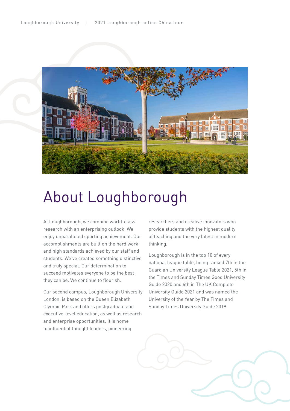

# About Loughborough

At Loughborough, we combine world-class research with an enterprising outlook. We enjoy unparalleled sporting achievement. Our accomplishments are built on the hard work and high standards achieved by our staff and students. We've created something distinctive and truly special. Our determination to succeed motivates everyone to be the best they can be. We continue to flourish.

Our second campus, Loughborough University London, is based on the Queen Elizabeth Olympic Park and offers postgraduate and executive-level education, as well as research and enterprise opportunities. It is home to influential thought leaders, pioneering

researchers and creative innovators who provide students with the highest quality of teaching and the very latest in modern thinking.

Loughborough is in the top 10 of every national league table, being ranked 7th in the Guardian University League Table 2021, 5th in the Times and Sunday Times Good University Guide 2020 and 6th in The UK Complete University Guide 2021 and was named the University of the Year by The Times and Sunday Times University Guide 2019.

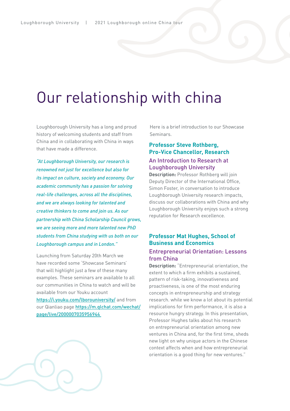# Our relationship with china

Loughborough University has a long and proud history of welcoming students and staff from China and in collaborating with China in ways that have made a difference.

*"At Loughborough University, our research is renowned not just for excellence but also for its impact on culture, society and economy. Our academic community has a passion for solving real-life challenges, across all the disciplines, and we are always looking for talented and creative thinkers to come and join us. As our partnership with China Scholarship Council grows, we are seeing more and more talented new PhD students from China studying with us both on our Loughborough campus and in London."*

Launching from Saturday 20th March we have recorded some 'Showcase Seminars' that will highlight just a few of these many examples. These seminars are available to all our communities in China to watch and will be available from our Youku account <https://i.youku.com/lborouniversity/> and from our Qianliao page [https://m.qlchat.com/wechat/](https://m.qlchat.com/wechat/page/live/2000007035956944  ) [page/live/2000007035956944](https://m.qlchat.com/wechat/page/live/2000007035956944  ) 

Here is a brief introduction to our Showcase Seminars.

# **Professor Steve Rothberg, Pro-Vice Chancellor, Research**

### An Introduction to Research at Loughborough University

**Description:** Professor Rothberg will join Deputy Director of the International Office, Simon Foster, in conversation to introduce Loughborough University research impacts, discuss our collaborations with China and why Loughborough University enjoys such a strong reputation for Research excellence.

# **Professor Mat Hughes, School of Business and Economics**

#### Entrepreneurial Orientation: Lessons from China

**Description:** "Entrepreneurial orientation, the extent to which a firm exhibits a sustained, pattern of risk-taking, innovativeness and proactiveness, is one of the most enduring concepts in entrepreneurship and strategy research. while we know a lot about its potential implications for firm performance, it is also a resource hungry strategy. In this presentation, Professor Hughes talks about his research on entrepreneurial orientation among new ventures in China and, for the first time, sheds new light on why unique actors in the Chinese context affects when and how entrepreneurial orientation is a good thing for new ventures."

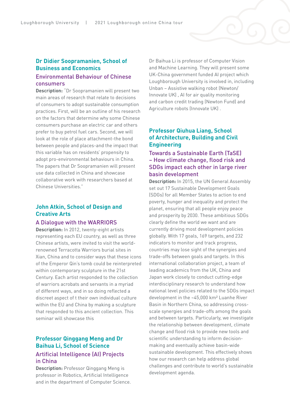### **Dr Didier Soopramanien, School of Business and Economics** Environmental Behaviour of Chinese

# consumers

**Description:** "Dr Soopramanien will present two main areas of research that relate to decisions of consumers to adopt sustainable consumption practices. First, will be an outline of his research on the factors that determine why some Chinese consumers purchase an electric car and others prefer to buy petrol fuel cars. Second, we will look at the role of place attachment-the bond between people and places-and the impact that this variable has on residents' propensity to adopt pro-environmental behaviours in China. The papers that Dr Soopramanien will present use data collected in China and showcase collaborative work with researchers based at Chinese Universities."

## **John Atkin, School of Design and Creative Arts**

#### A Dialogue with the WARRIORS

**Description:** In 2012, twenty-eight artists representing each EU country, as well as three Chinese artists, were invited to visit the worldrenowned Terracotta Warriors burial sites in Xian, China and to consider ways that these icons of the Emperor Qin's tomb could be reinterpreted within contemporary sculpture in the 21st Century. Each artist responded to the collection of warriors acrobats and servants in a myriad of different ways, and in so doing reflected a discreet aspect of t their own individual culture within the EU and China by making a sculpture that responded to this ancient collection. This seminar will showcase this

# **Professor Qinggang Meng and Dr Baihua Li, School of Science** Artificial Intelligence (AI) Projects

#### in China **Description:** Professor Qinggang Meng is

professor in Robotics, Artificial Intelligence and in the department of Computer Science.

Dr Baihua Li is professor of Computer Vision and Machine Learning. They will present some UK-China government funded AI project which Loughborough University is involved in, including Unban – Assistive walking robot (Newton/ Innovate UK) , AI for air quality monitoring and carbon credit trading (Newton Fund) and Agriculture robots (Innovate UK) .

## **Professor Qiuhua Liang, School of Architecture, Building and Civil Engineering**

### Towards a Sustainable Earth (TaSE) – How climate change, flood risk and SDGs impact each other in large river basin development

**Description:** In 2015, the UN General Assembly set out 17 Sustainable Development Goals (SDGs) for all Member States to action to end poverty, hunger and inequality and protect the planet, ensuring that all people enjoy peace and prosperity by 2030. These ambitious SDGs clearly define the world we want and are currently driving most development policies globally. With 17 goals, 169 targets, and 232 indicators to monitor and track progress, countries may lose sight of the synergies and trade-offs between goals and targets. In this international collaboration project, a team of leading academics from the UK, China and Japan work closely to conduct cutting-edge interdisciplinary research to understand how national level policies related to the SDGs impact development in the ~45,000 km² Luanhe River Basin in Northern China, so addressing crossscale synergies and trade-offs among the goals and between targets. Particularly, we investigate the relationship between development, climate change and flood risk to provide new tools and scientific understanding to inform decisionmaking and eventually achieve basin-wide sustainable development. This effectively shows how our research can help address global challenges and contribute to world's sustainable development agenda.